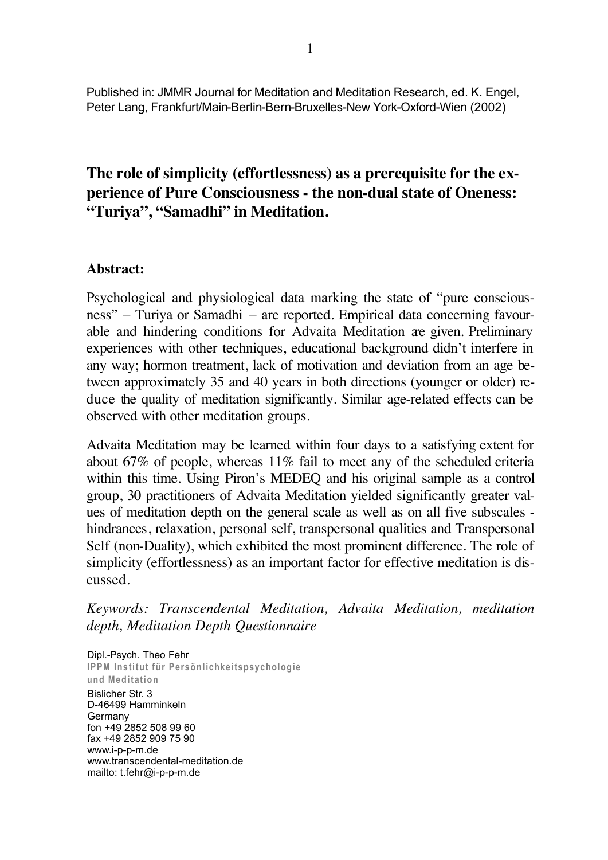Published in: JMMR Journal for Meditation and Meditation Research, ed. K. Engel, Peter Lang, Frankfurt/Main-Berlin-Bern-Bruxelles-New York-Oxford-Wien (2002)

# **The role of simplicity (effortlessness) as a prerequisite for the experience of Pure Consciousness - the non-dual state of Oneness: "Turiya", "Samadhi" in Meditation.**

### **Abstract:**

Psychological and physiological data marking the state of "pure consciousness" – Turiya or Samadhi – are reported. Empirical data concerning favourable and hindering conditions for Advaita Meditation are given. Preliminary experiences with other techniques, educational background didn't interfere in any way; hormon treatment, lack of motivation and deviation from an age between approximately 35 and 40 years in both directions (younger or older) reduce the quality of meditation significantly. Similar age-related effects can be observed with other meditation groups.

Advaita Meditation may be learned within four days to a satisfying extent for about 67% of people, whereas 11% fail to meet any of the scheduled criteria within this time. Using Piron's MEDEQ and his original sample as a control group, 30 practitioners of Advaita Meditation yielded significantly greater values of meditation depth on the general scale as well as on all five subscales hindrances, relaxation, personal self, transpersonal qualities and Transpersonal Self (non-Duality), which exhibited the most prominent difference. The role of simplicity (effortlessness) as an important factor for effective meditation is discussed.

*Keywords: Transcendental Meditation, Advaita Meditation, meditation depth, Meditation Depth Questionnaire*

Dipl.-Psych. Theo Fehr **IPPM Institut für Persönlichkeitspsychologie und Meditation** Bislicher Str. 3 D-46499 Hamminkeln Germany fon +49 2852 508 99 60 www.i-p-p-m.de fax +49 2852 909 75 90 www.i-p-p-m.de www.transcendental-meditation.de mailto: t.fehr@i-p-p-m.de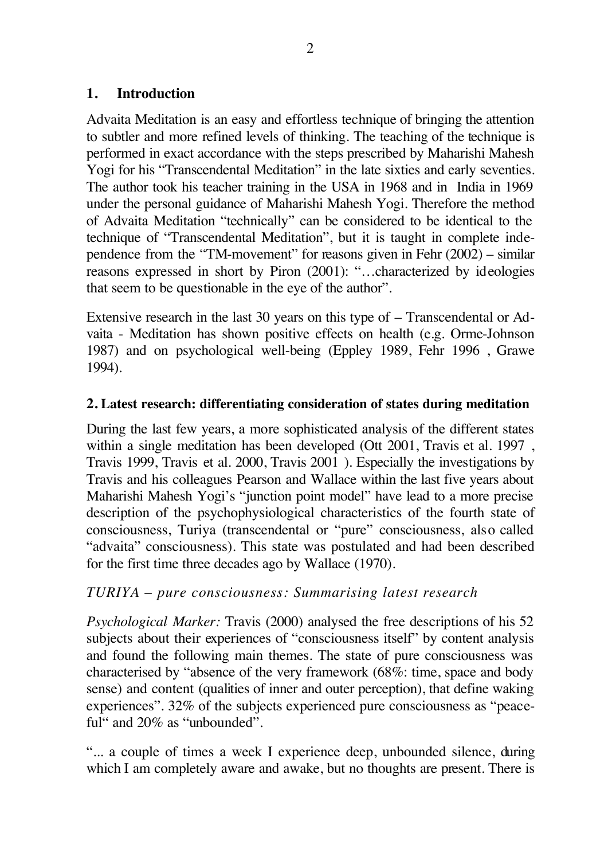### **1. Introduction**

Advaita Meditation is an easy and effortless technique of bringing the attention to subtler and more refined levels of thinking. The teaching of the technique is performed in exact accordance with the steps prescribed by Maharishi Mahesh Yogi for his "Transcendental Meditation" in the late sixties and early seventies. The author took his teacher training in the USA in 1968 and in India in 1969 under the personal guidance of Maharishi Mahesh Yogi. Therefore the method of Advaita Meditation "technically" can be considered to be identical to the technique of "Transcendental Meditation", but it is taught in complete independence from the "TM-movement" for reasons given in Fehr (2002) – similar reasons expressed in short by Piron (2001): "…characterized by ideologies that seem to be questionable in the eye of the author".

Extensive research in the last 30 years on this type of – Transcendental or Advaita - Meditation has shown positive effects on health (e.g. Orme-Johnson 1987) and on psychological well-being (Eppley 1989, Fehr 1996 , Grawe 1994).

### **2. Latest research: differentiating consideration of states during meditation**

During the last few years, a more sophisticated analysis of the different states within a single meditation has been developed (Ott 2001, Travis et al. 1997, Travis 1999, Travis et al. 2000, Travis 2001 ). Especially the investigations by Travis and his colleagues Pearson and Wallace within the last five years about Maharishi Mahesh Yogi's "junction point model" have lead to a more precise description of the psychophysiological characteristics of the fourth state of consciousness, Turiya (transcendental or "pure" consciousness, also called "advaita" consciousness). This state was postulated and had been described for the first time three decades ago by Wallace (1970).

# *TURIYA – pure consciousness: Summarising latest research*

*Psychological Marker:* Travis (2000) analysed the free descriptions of his 52 subjects about their experiences of "consciousness itself" by content analysis and found the following main themes. The state of pure consciousness was characterised by "absence of the very framework (68%: time, space and body sense) and content (qualities of inner and outer perception), that define waking experiences". 32% of the subjects experienced pure consciousness as "peaceful" and 20% as "unbounded".

"... a couple of times a week I experience deep, unbounded silence, during which I am completely aware and awake, but no thoughts are present. There is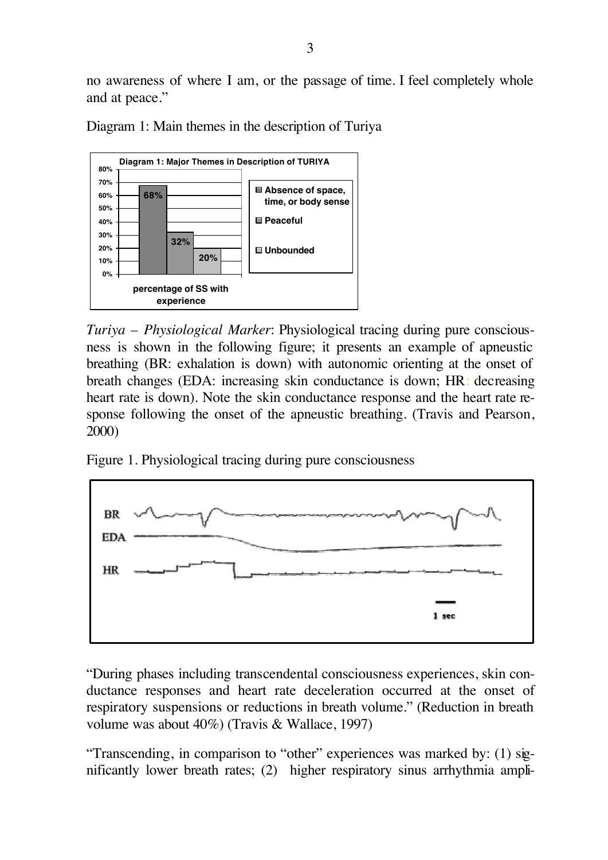no awareness of where I am, or the passage of time. I feel completely whole and at peace."

**Diagram 1: Major Themes in Description of TURIYA 68% 32% 20% 0% 10% 20% 30% 40% 50% 60% 70% 80% percentage of SS with experience Absence of space, time, or body sense Peaceful Unbounded**

Diagram 1: Main themes in the description of Turiya

*Turiya – Physiological Marker*: Physiological tracing during pure consciousness is shown in the following figure; it presents an example of apneustic breathing (BR: exhalation is down) with autonomic orienting at the onset of breath changes (EDA: increasing skin conductance is down; HR: decreasing heart rate is down). Note the skin conductance response and the heart rate response following the onset of the apneustic breathing. (Travis and Pearson, 2000)

Figure 1. Physiological tracing during pure consciousness



"During phases including transcendental consciousness experiences, skin conductance responses and heart rate deceleration occurred at the onset of respiratory suspensions or reductions in breath volume." (Reduction in breath volume was about 40%) (Travis & Wallace, 1997)

"Transcending, in comparison to "other" experiences was marked by: (1) significantly lower breath rates; (2) higher respiratory sinus arrhythmia ampli-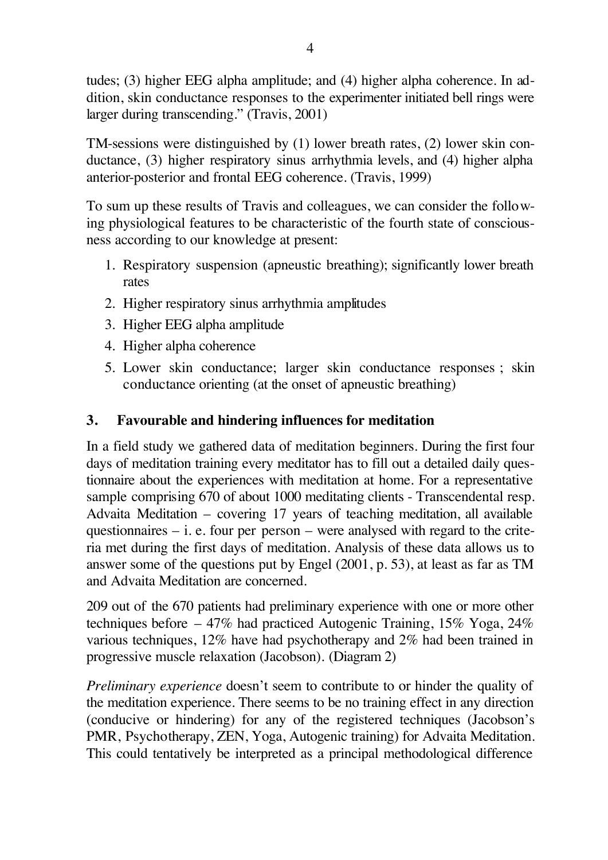tudes; (3) higher EEG alpha amplitude; and (4) higher alpha coherence. In addition, skin conductance responses to the experimenter initiated bell rings were larger during transcending." (Travis, 2001)

TM-sessions were distinguished by (1) lower breath rates, (2) lower skin conductance, (3) higher respiratory sinus arrhythmia levels, and (4) higher alpha anterior-posterior and frontal EEG coherence. (Travis, 1999)

To sum up these results of Travis and colleagues, we can consider the following physiological features to be characteristic of the fourth state of consciousness according to our knowledge at present:

- 1. Respiratory suspension (apneustic breathing); significantly lower breath rates
- 2. Higher respiratory sinus arrhythmia amplitudes
- 3. Higher EEG alpha amplitude
- 4. Higher alpha coherence
- 5. Lower skin conductance; larger skin conductance responses ; skin conductance orienting (at the onset of apneustic breathing)

# **3. Favourable and hindering influences for meditation**

In a field study we gathered data of meditation beginners. During the first four days of meditation training every meditator has to fill out a detailed daily questionnaire about the experiences with meditation at home. For a representative sample comprising 670 of about 1000 meditating clients - Transcendental resp. Advaita Meditation – covering 17 years of teaching meditation, all available questionnaires  $-$  i. e. four per person  $-$  were analysed with regard to the criteria met during the first days of meditation. Analysis of these data allows us to answer some of the questions put by Engel (2001, p. 53), at least as far as TM and Advaita Meditation are concerned.

209 out of the 670 patients had preliminary experience with one or more other techniques before – 47% had practiced Autogenic Training, 15% Yoga, 24% various techniques, 12% have had psychotherapy and 2% had been trained in progressive muscle relaxation (Jacobson). (Diagram 2)

*Preliminary experience* doesn't seem to contribute to or hinder the quality of the meditation experience. There seems to be no training effect in any direction (conducive or hindering) for any of the registered techniques (Jacobson's PMR, Psychotherapy, ZEN, Yoga, Autogenic training) for Advaita Meditation. This could tentatively be interpreted as a principal methodological difference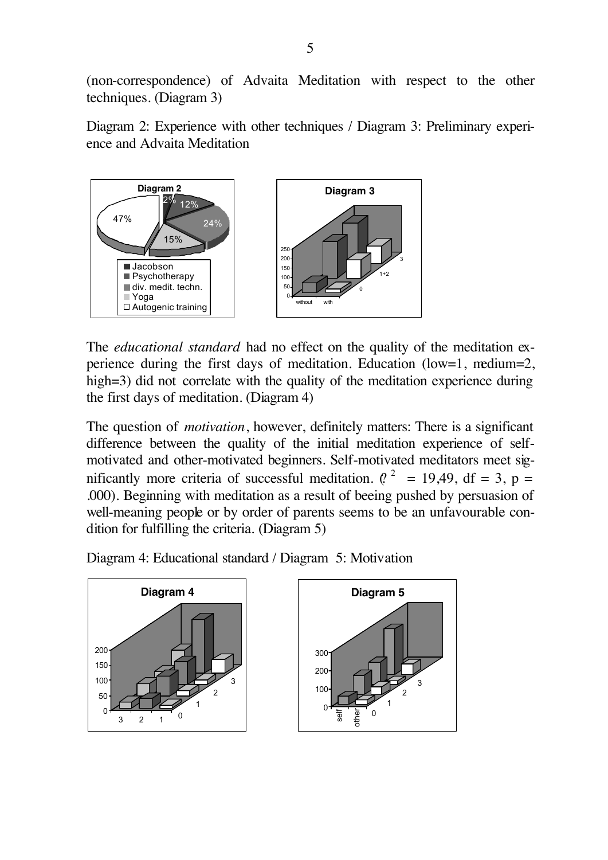(non-correspondence) of Advaita Meditation with respect to the other techniques. (Diagram 3)

Diagram 2: Experience with other techniques / Diagram 3: Preliminary experience and Advaita Meditation



The *educational standard* had no effect on the quality of the meditation experience during the first days of meditation. Education (low=1, medium=2, high=3) did not correlate with the quality of the meditation experience during the first days of meditation. (Diagram 4)

The question of *motivation*, however, definitely matters: There is a significant difference between the quality of the initial meditation experience of selfmotivated and other-motivated beginners. Self-motivated meditators meet significantly more criteria of successful meditation. ( $l^2$  = 19,49, df = 3, p = .000). Beginning with meditation as a result of beeing pushed by persuasion of well-meaning people or by order of parents seems to be an unfavourable condition for fulfilling the criteria. (Diagram 5)

Diagram 4: Educational standard / Diagram 5: Motivation

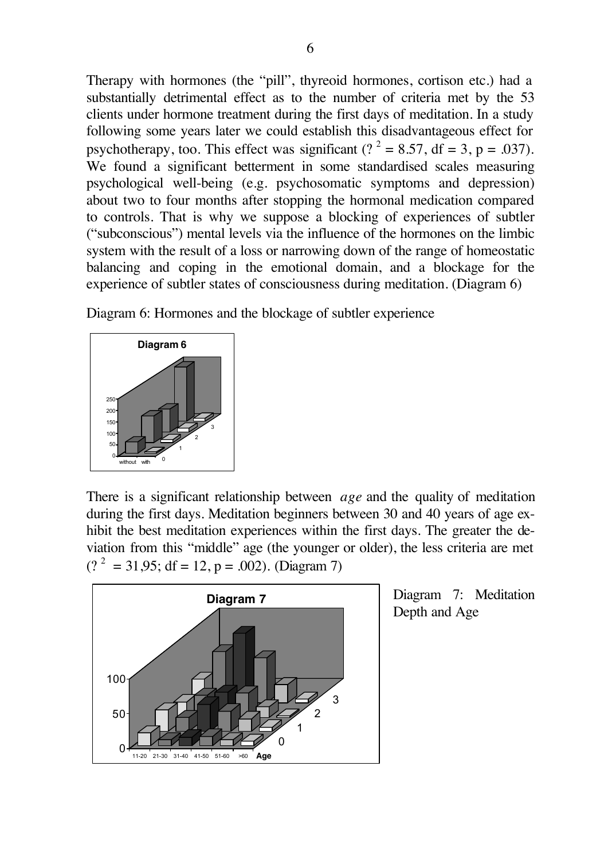Therapy with hormones (the "pill", thyreoid hormones, cortison etc.) had a substantially detrimental effect as to the number of criteria met by the 53 clients under hormone treatment during the first days of meditation. In a study following some years later we could establish this disadvantageous effect for psychotherapy, too. This effect was significant ( $?^2 = 8.57$ , df = 3, p = .037). We found a significant betterment in some standardised scales measuring psychological well-being (e.g. psychosomatic symptoms and depression) about two to four months after stopping the hormonal medication compared to controls. That is why we suppose a blocking of experiences of subtler ("subconscious") mental levels via the influence of the hormones on the limbic system with the result of a loss or narrowing down of the range of homeostatic balancing and coping in the emotional domain, and a blockage for the experience of subtler states of consciousness during meditation. (Diagram 6)

Diagram 6: Hormones and the blockage of subtler experience



There is a significant relationship between *age* and the quality of meditation during the first days. Meditation beginners between 30 and 40 years of age exhibit the best meditation experiences within the first days. The greater the deviation from this "middle" age (the younger or older), the less criteria are met  $(?)^2 = 31.95$ ; df = 12, p = .002). (Diagram 7)



Diagram 7: Meditation Depth and Age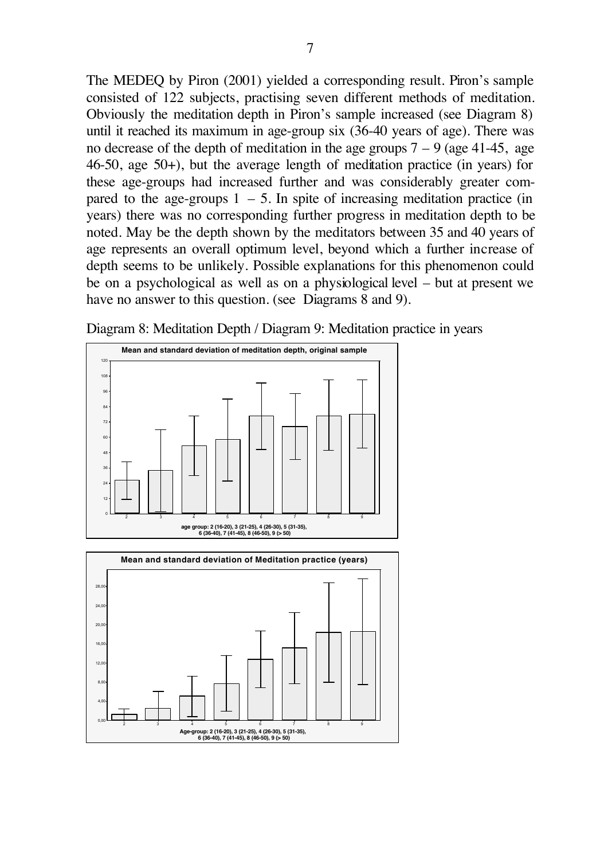The MEDEQ by Piron (2001) yielded a corresponding result. Piron's sample consisted of 122 subjects, practising seven different methods of meditation. Obviously the meditation depth in Piron's sample increased (see Diagram 8) until it reached its maximum in age-group six (36-40 years of age). There was no decrease of the depth of meditation in the age groups  $7 - 9$  (age 41-45, age 46-50, age 50+), but the average length of meditation practice (in years) for these age-groups had increased further and was considerably greater compared to the age-groups  $1 - 5$ . In spite of increasing meditation practice (in years) there was no corresponding further progress in meditation depth to be noted. May be the depth shown by the meditators between 35 and 40 years of age represents an overall optimum level, beyond which a further increase of depth seems to be unlikely. Possible explanations for this phenomenon could be on a psychological as well as on a physiological level – but at present we have no answer to this question. (see Diagrams 8 and 9).

Diagram 8: Meditation Depth / Diagram 9: Meditation practice in years



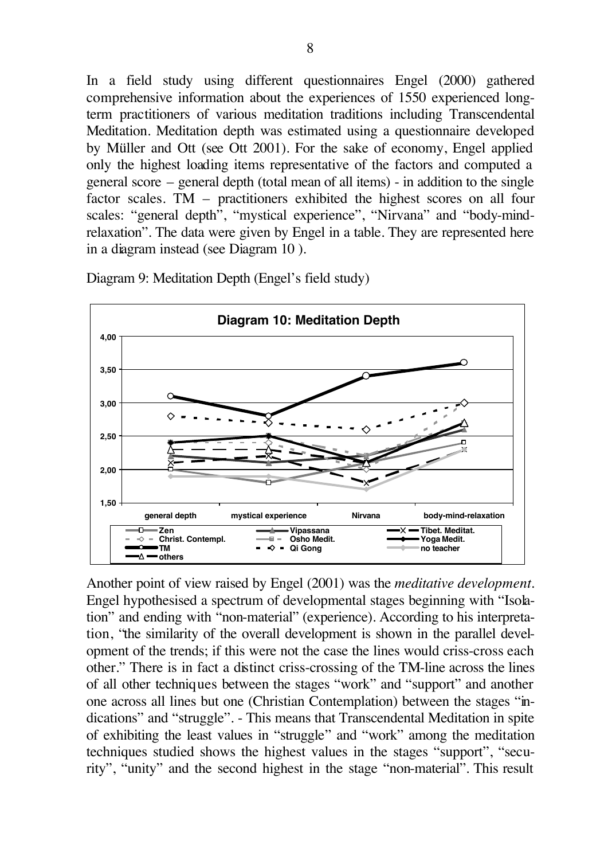In a field study using different questionnaires Engel (2000) gathered comprehensive information about the experiences of 1550 experienced longterm practitioners of various meditation traditions including Transcendental Meditation. Meditation depth was estimated using a questionnaire developed by Müller and Ott (see Ott 2001). For the sake of economy, Engel applied only the highest loading items representative of the factors and computed a general score – general depth (total mean of all items) - in addition to the single factor scales. TM – practitioners exhibited the highest scores on all four scales: "general depth", "mystical experience", "Nirvana" and "body-mindrelaxation". The data were given by Engel in a table. They are represented here in a diagram instead (see Diagram 10 ).





Another point of view raised by Engel (2001) was the *meditative development*. Engel hypothesised a spectrum of developmental stages beginning with "Isolation" and ending with "non-material" (experience). According to his interpretation, "the similarity of the overall development is shown in the parallel development of the trends; if this were not the case the lines would criss-cross each other." There is in fact a distinct criss-crossing of the TM-line across the lines of all other techniques between the stages "work" and "support" and another one across all lines but one (Christian Contemplation) between the stages "indications" and "struggle". - This means that Transcendental Meditation in spite of exhibiting the least values in "struggle" and "work" among the meditation techniques studied shows the highest values in the stages "support", "security", "unity" and the second highest in the stage "non-material". This result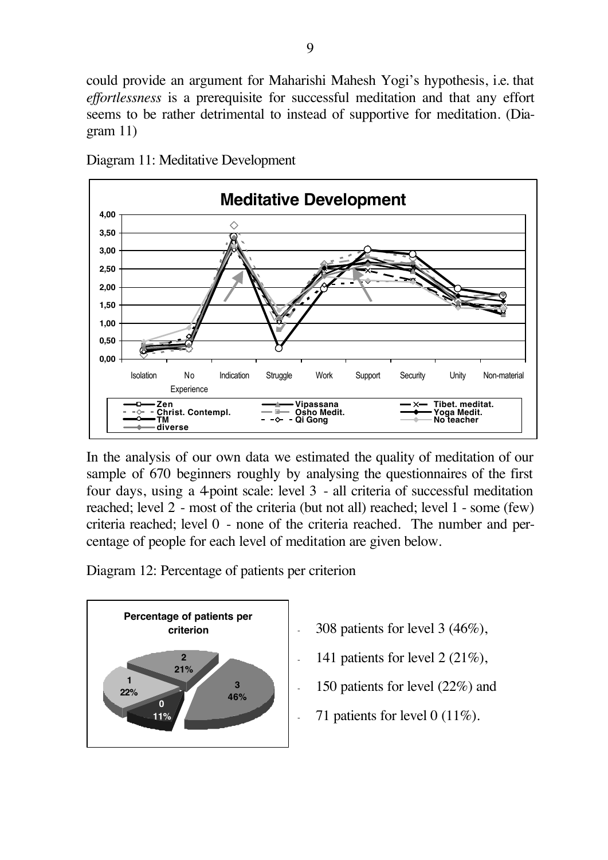could provide an argument for Maharishi Mahesh Yogi's hypothesis, i.e. that *effortlessness* is a prerequisite for successful meditation and that any effort seems to be rather detrimental to instead of supportive for meditation. (Diagram 11)



Diagram 11: Meditative Development

In the analysis of our own data we estimated the quality of meditation of our sample of 670 beginners roughly by analysing the questionnaires of the first four days, using a 4-point scale: level 3 - all criteria of successful meditation reached; level 2 - most of the criteria (but not all) reached; level 1 - some (few) criteria reached; level 0 - none of the criteria reached. The number and percentage of people for each level of meditation are given below.

Diagram 12: Percentage of patients per criterion



- 308 patients for level 3  $(46\%)$ ,
- 141 patients for level  $2(21\%)$ ,
- 150 patients for level (22%) and
- 71 patients for level 0  $(11\%)$ .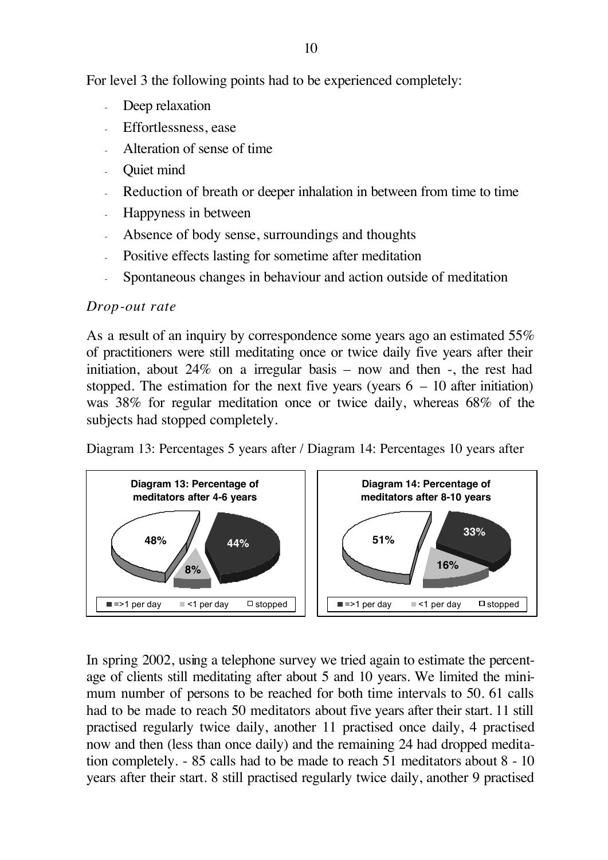For level 3 the following points had to be experienced completely:

- Deep relaxation
- Effortlessness, ease
- Alteration of sense of time
- Ouiet mind
- Reduction of breath or deeper inhalation in between from time to time
- Happyness in between
- Absence of body sense, surroundings and thoughts
- Positive effects lasting for sometime after meditation
- Spontaneous changes in behaviour and action outside of meditation

#### *Drop-out rate*

As a result of an inquiry by correspondence some years ago an estimated 55% of practitioners were still meditating once or twice daily five years after their initiation, about 24% on a irregular basis – now and then -, the rest had stopped. The estimation for the next five years (years  $6 - 10$  after initiation) was 38% for regular meditation once or twice daily, whereas 68% of the subjects had stopped completely.

Diagram 13: Percentages 5 years after / Diagram 14: Percentages 10 years after



In spring 2002, using a telephone survey we tried again to estimate the percentage of clients still meditating after about 5 and 10 years. We limited the minimum number of persons to be reached for both time intervals to 50. 61 calls had to be made to reach 50 meditators about five years after their start. 11 still practised regularly twice daily, another 11 practised once daily, 4 practised now and then (less than once daily) and the remaining 24 had dropped meditation completely. - 85 calls had to be made to reach 51 meditators about 8 - 10 years after their start. 8 still practised regularly twice daily, another 9 practised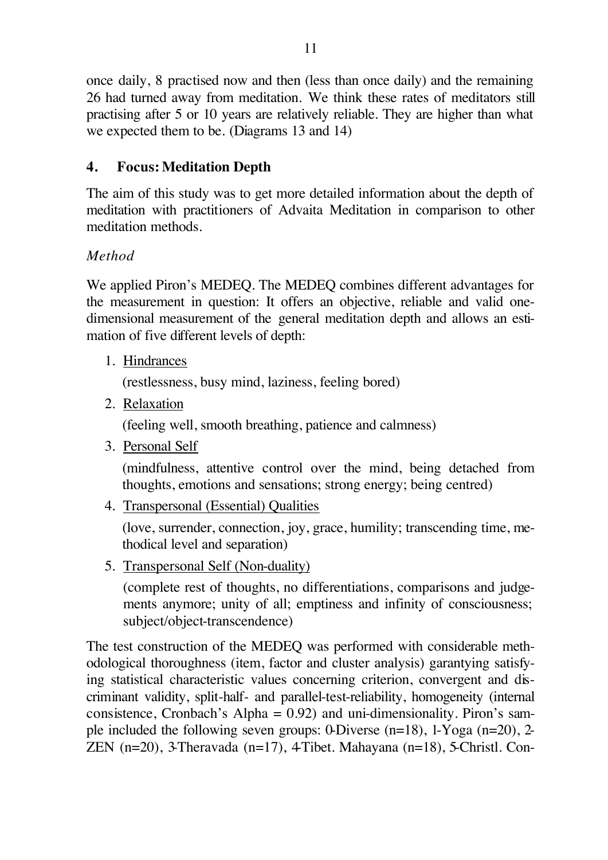once daily, 8 practised now and then (less than once daily) and the remaining 26 had turned away from meditation. We think these rates of meditators still practising after 5 or 10 years are relatively reliable. They are higher than what we expected them to be. (Diagrams 13 and 14)

# **4. Focus: Meditation Depth**

The aim of this study was to get more detailed information about the depth of meditation with practitioners of Advaita Meditation in comparison to other meditation methods.

# *Method*

We applied Piron's MEDEQ. The MEDEQ combines different advantages for the measurement in question: It offers an objective, reliable and valid onedimensional measurement of the general meditation depth and allows an estimation of five different levels of depth:

1. Hindrances

(restlessness, busy mind, laziness, feeling bored)

2. Relaxation

(feeling well, smooth breathing, patience and calmness)

3. Personal Self

(mindfulness, attentive control over the mind, being detached from thoughts, emotions and sensations; strong energy; being centred)

4. Transpersonal (Essential) Qualities

(love, surrender, connection, joy, grace, humility; transcending time, methodical level and separation)

5. Transpersonal Self (Non-duality)

(complete rest of thoughts, no differentiations, comparisons and judgements anymore; unity of all; emptiness and infinity of consciousness; subject/object-transcendence)

The test construction of the MEDEQ was performed with considerable methodological thoroughness (item, factor and cluster analysis) garantying satisfying statistical characteristic values concerning criterion, convergent and discriminant validity, split-half- and parallel-test-reliability, homogeneity (internal consistence, Cronbach's Alpha =  $0.92$ ) and uni-dimensionality. Piron's sample included the following seven groups: 0-Diverse (n=18), 1-Yoga (n=20), 2- ZEN (n=20), 3-Theravada (n=17), 4-Tibet. Mahayana (n=18), 5-Christl. Con-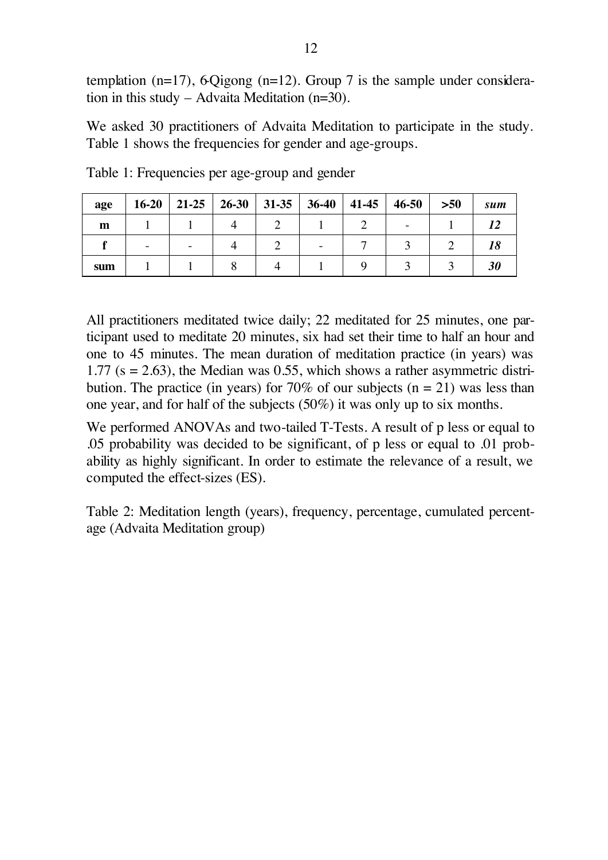templation  $(n=17)$ , 6-Qigong  $(n=12)$ . Group 7 is the sample under consideration in this study – Advaita Meditation (n=30).

We asked 30 practitioners of Advaita Meditation to participate in the study. Table 1 shows the frequencies for gender and age-groups.

| age | $16-20$ |  | 21-25   26-30   31-35   36-40   41-45   46-50 |  | $>50$ | sum |
|-----|---------|--|-----------------------------------------------|--|-------|-----|
| m   |         |  |                                               |  |       |     |
|     |         |  |                                               |  |       |     |
| sum |         |  |                                               |  |       |     |

Table 1: Frequencies per age-group and gender

All practitioners meditated twice daily; 22 meditated for 25 minutes, one participant used to meditate 20 minutes, six had set their time to half an hour and one to 45 minutes. The mean duration of meditation practice (in years) was 1.77 ( $s = 2.63$ ), the Median was 0.55, which shows a rather asymmetric distribution. The practice (in years) for 70% of our subjects ( $n = 21$ ) was less than one year, and for half of the subjects (50%) it was only up to six months.

We performed ANOVAs and two-tailed T-Tests. A result of p less or equal to .05 probability was decided to be significant, of p less or equal to .01 probability as highly significant. In order to estimate the relevance of a result, we computed the effect-sizes (ES).

Table 2: Meditation length (years), frequency, percentage, cumulated percentage (Advaita Meditation group)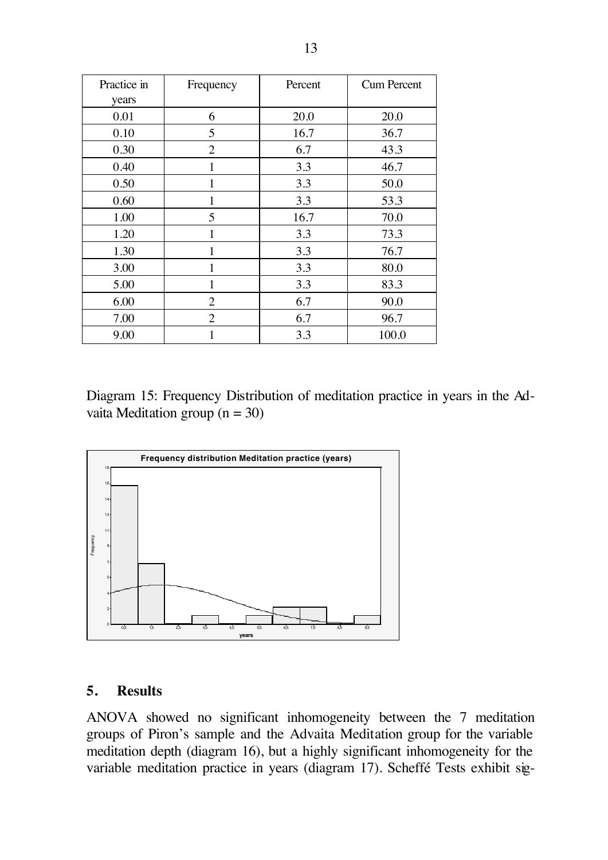| Practice in | Frequency      | Percent | <b>Cum Percent</b> |  |
|-------------|----------------|---------|--------------------|--|
| years       |                |         |                    |  |
| 0.01        | 6              | 20.0    | 20.0               |  |
| 0.10        | 5              | 16.7    | 36.7               |  |
| 0.30        | $\overline{2}$ | 6.7     | 43.3               |  |
| 0.40        |                | 3.3     | 46.7               |  |
| 0.50        | 1              | 3.3     | 50.0               |  |
| 0.60        | 1              | 3.3     | 53.3               |  |
| 1.00        | 5              | 16.7    | 70.0               |  |
| 1.20        | 1              | 3.3     | 73.3               |  |
| 1.30        | 1              | 3.3     | 76.7               |  |
| 3.00        | 1              | 3.3     | 80.0               |  |
| 5.00        | 1              | 3.3     | 83.3               |  |
| 6.00        | $\overline{2}$ | 6.7     | 90.0               |  |
| 7.00        | 2              | 6.7     | 96.7               |  |
| 9.00        |                | 3.3     | 100.0              |  |

Diagram 15: Frequency Distribution of meditation practice in years in the Advaita Meditation group  $(n = 30)$ 



#### **5. Results**

ANOVA showed no significant inhomogeneity between the 7 meditation groups of Piron's sample and the Advaita Meditation group for the variable meditation depth (diagram 16), but a highly significant inhomogeneity for the variable meditation practice in years (diagram 17). Scheffé Tests exhibit sig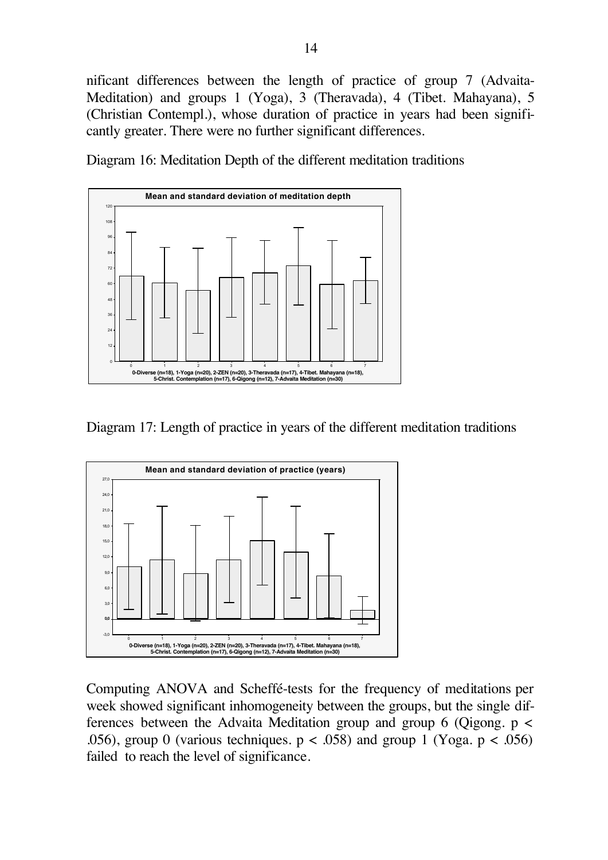nificant differences between the length of practice of group 7 (Advaita-Meditation) and groups 1 (Yoga), 3 (Theravada), 4 (Tibet. Mahayana), 5 (Christian Contempl.), whose duration of practice in years had been significantly greater. There were no further significant differences.

Diagram 16: Meditation Depth of the different meditation traditions



Diagram 17: Length of practice in years of the different meditation traditions



Computing ANOVA and Scheffé-tests for the frequency of meditations per week showed significant inhomogeneity between the groups, but the single differences between the Advaita Meditation group and group 6 (Qigong.  $p \lt \theta$ ) .056), group 0 (various techniques.  $p < .058$ ) and group 1 (Yoga.  $p < .056$ ) failed to reach the level of significance.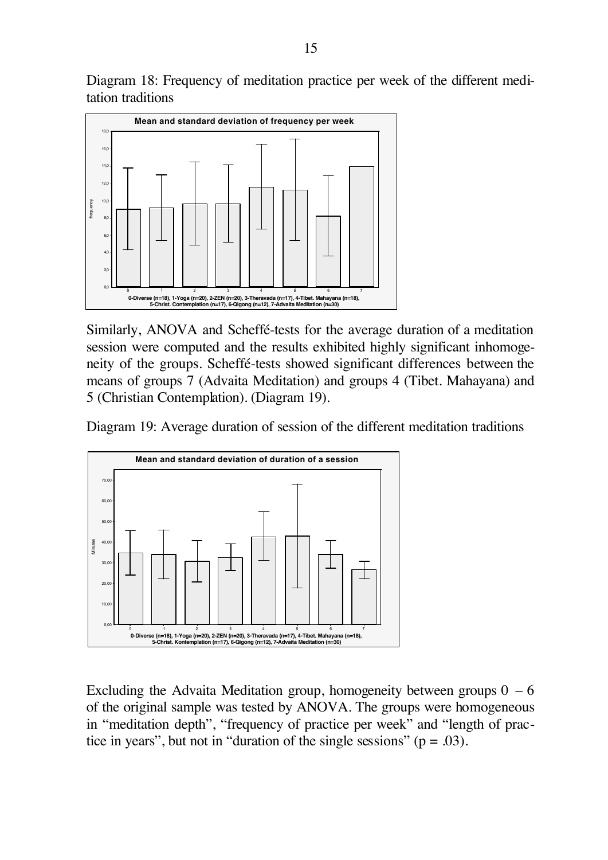Diagram 18: Frequency of meditation practice per week of the different meditation traditions



Similarly, ANOVA and Scheffé-tests for the average duration of a meditation session were computed and the results exhibited highly significant inhomogeneity of the groups. Scheffé-tests showed significant differences between the means of groups 7 (Advaita Meditation) and groups 4 (Tibet. Mahayana) and 5 (Christian Contemplation). (Diagram 19).

Diagram 19: Average duration of session of the different meditation traditions



Excluding the Advaita Meditation group, homogeneity between groups  $0 - 6$ of the original sample was tested by ANOVA. The groups were homogeneous in "meditation depth", "frequency of practice per week" and "length of practice in years", but not in "duration of the single sessions" ( $p = .03$ ).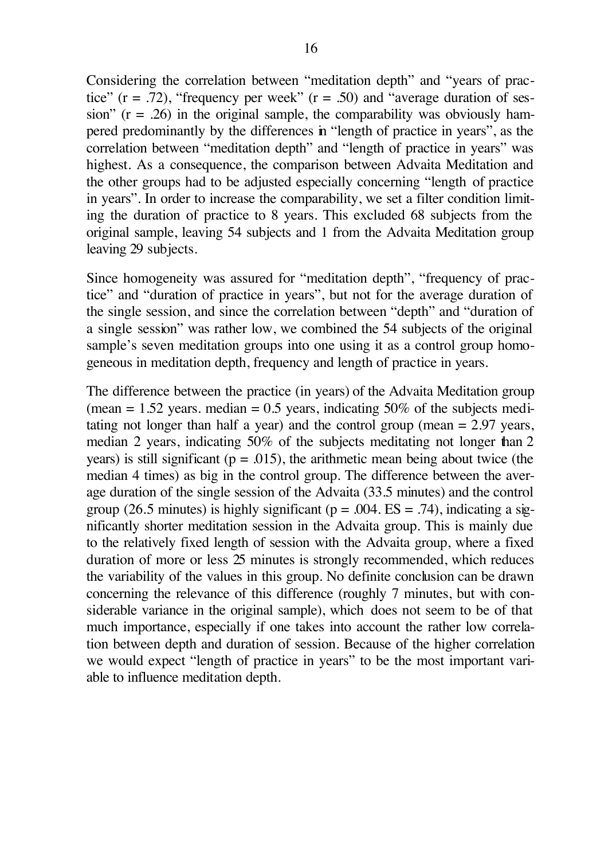Considering the correlation between "meditation depth" and "years of practice" ( $r = .72$ ), "frequency per week" ( $r = .50$ ) and "average duration of session" ( $r = .26$ ) in the original sample, the comparability was obviously hampered predominantly by the differences in "length of practice in years", as the correlation between "meditation depth" and "length of practice in years" was highest. As a consequence, the comparison between Advaita Meditation and the other groups had to be adjusted especially concerning "length of practice in years". In order to increase the comparability, we set a filter condition limiting the duration of practice to 8 years. This excluded 68 subjects from the original sample, leaving 54 subjects and 1 from the Advaita Meditation group leaving 29 subjects.

Since homogeneity was assured for "meditation depth", "frequency of practice" and "duration of practice in years", but not for the average duration of the single session, and since the correlation between "depth" and "duration of a single session" was rather low, we combined the 54 subjects of the original sample's seven meditation groups into one using it as a control group homogeneous in meditation depth, frequency and length of practice in years.

The difference between the practice (in years) of the Advaita Meditation group (mean  $= 1.52$  years. median  $= 0.5$  years, indicating 50% of the subjects meditating not longer than half a year) and the control group (mean = 2.97 years, median 2 years, indicating 50% of the subjects meditating not longer than 2 years) is still significant ( $p = .015$ ), the arithmetic mean being about twice (the median 4 times) as big in the control group. The difference between the average duration of the single session of the Advaita (33.5 minutes) and the control group (26.5 minutes) is highly significant ( $p = .004$ . ES = .74), indicating a significantly shorter meditation session in the Advaita group. This is mainly due to the relatively fixed length of session with the Advaita group, where a fixed duration of more or less 25 minutes is strongly recommended, which reduces the variability of the values in this group. No definite conclusion can be drawn concerning the relevance of this difference (roughly 7 minutes, but with considerable variance in the original sample), which does not seem to be of that much importance, especially if one takes into account the rather low correlation between depth and duration of session. Because of the higher correlation we would expect "length of practice in years" to be the most important variable to influence meditation depth.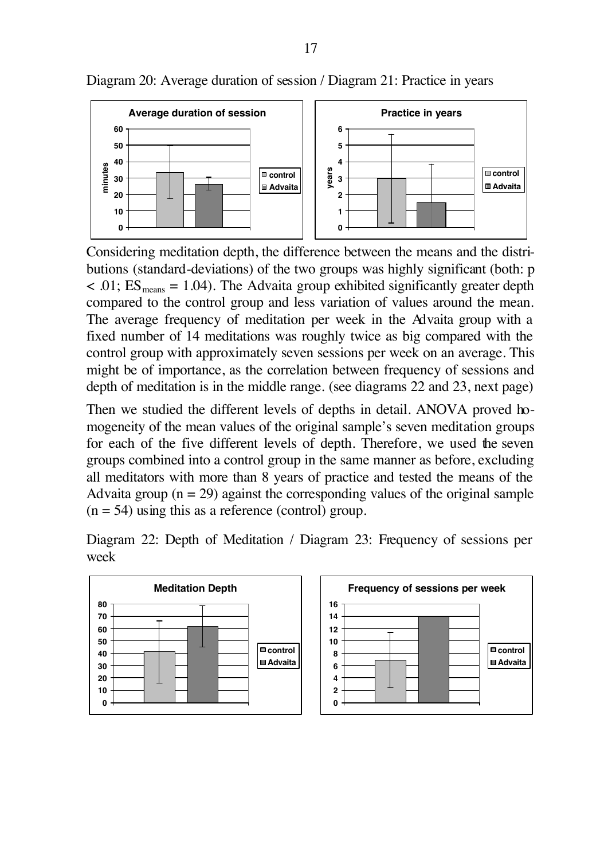

Diagram 20: Average duration of session / Diagram 21: Practice in years

Considering meditation depth, the difference between the means and the distributions (standard-deviations) of the two groups was highly significant (both: p  $\langle 0.01; ES_{\text{means}} = 1.04$ . The Advaita group exhibited significantly greater depth compared to the control group and less variation of values around the mean. The average frequency of meditation per week in the Advaita group with a fixed number of 14 meditations was roughly twice as big compared with the control group with approximately seven sessions per week on an average. This might be of importance, as the correlation between frequency of sessions and depth of meditation is in the middle range. (see diagrams 22 and 23, next page)

Then we studied the different levels of depths in detail. ANOVA proved homogeneity of the mean values of the original sample's seven meditation groups for each of the five different levels of depth. Therefore, we used the seven groups combined into a control group in the same manner as before, excluding all meditators with more than 8 years of practice and tested the means of the Advaita group  $(n = 29)$  against the corresponding values of the original sample  $(n = 54)$  using this as a reference (control) group.

Diagram 22: Depth of Meditation / Diagram 23: Frequency of sessions per week

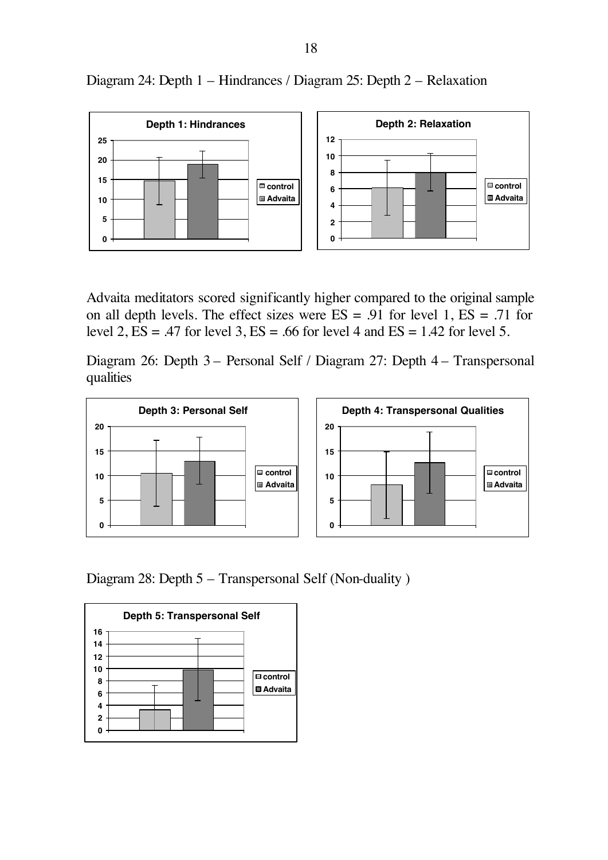

Diagram 24: Depth 1 – Hindrances / Diagram 25: Depth 2 – Relaxation

Advaita meditators scored significantly higher compared to the original sample on all depth levels. The effect sizes were  $ES = .91$  for level 1,  $ES = .71$  for level 2,  $ES = .47$  for level 3,  $ES = .66$  for level 4 and  $ES = 1.42$  for level 5.

Diagram 26: Depth 3 – Personal Self / Diagram 27: Depth 4 – Transpersonal qualities



Diagram 28: Depth 5 – Transpersonal Self (Non-duality )

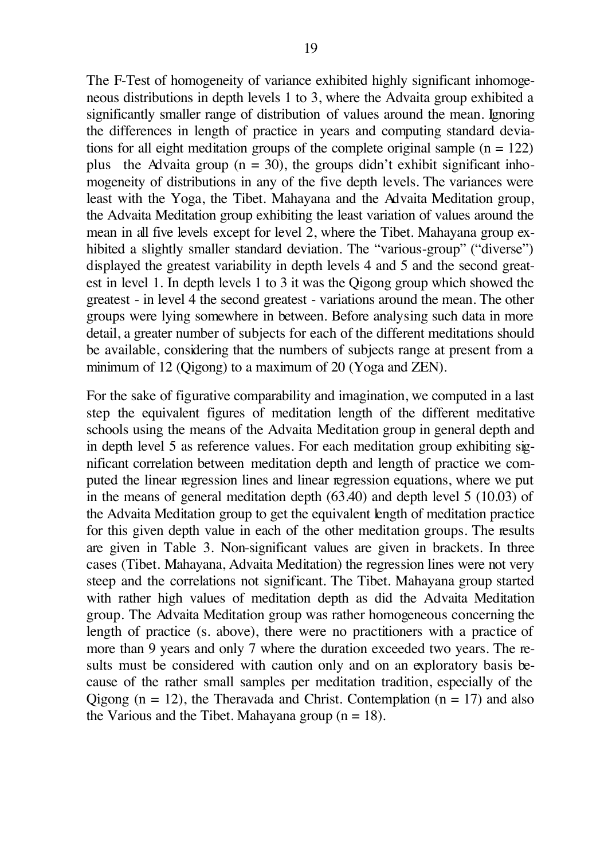The F-Test of homogeneity of variance exhibited highly significant inhomogeneous distributions in depth levels 1 to 3, where the Advaita group exhibited a significantly smaller range of distribution of values around the mean. Ignoring the differences in length of practice in years and computing standard deviations for all eight meditation groups of the complete original sample  $(n = 122)$ plus the Advaita group ( $n = 30$ ), the groups didn't exhibit significant inhomogeneity of distributions in any of the five depth levels. The variances were least with the Yoga, the Tibet. Mahayana and the Advaita Meditation group, the Advaita Meditation group exhibiting the least variation of values around the mean in all five levels except for level 2, where the Tibet. Mahayana group exhibited a slightly smaller standard deviation. The "various-group" ("diverse") displayed the greatest variability in depth levels 4 and 5 and the second greatest in level 1. In depth levels 1 to 3 it was the Qigong group which showed the greatest - in level 4 the second greatest - variations around the mean. The other groups were lying somewhere in between. Before analysing such data in more detail, a greater number of subjects for each of the different meditations should be available, considering that the numbers of subjects range at present from a minimum of 12 (Qigong) to a maximum of 20 (Yoga and ZEN).

For the sake of figurative comparability and imagination, we computed in a last step the equivalent figures of meditation length of the different meditative schools using the means of the Advaita Meditation group in general depth and in depth level 5 as reference values. For each meditation group exhibiting significant correlation between meditation depth and length of practice we computed the linear regression lines and linear regression equations, where we put in the means of general meditation depth (63.40) and depth level 5 (10.03) of the Advaita Meditation group to get the equivalent length of meditation practice for this given depth value in each of the other meditation groups. The results are given in Table 3. Non-significant values are given in brackets. In three cases (Tibet. Mahayana, Advaita Meditation) the regression lines were not very steep and the correlations not significant. The Tibet. Mahayana group started with rather high values of meditation depth as did the Advaita Meditation group. The Advaita Meditation group was rather homogeneous concerning the length of practice (s. above), there were no practitioners with a practice of more than 9 years and only 7 where the duration exceeded two years. The results must be considered with caution only and on an exploratory basis because of the rather small samples per meditation tradition, especially of the Qigong  $(n = 12)$ , the Theravada and Christ. Contemplation  $(n = 17)$  and also the Various and the Tibet. Mahayana group  $(n = 18)$ .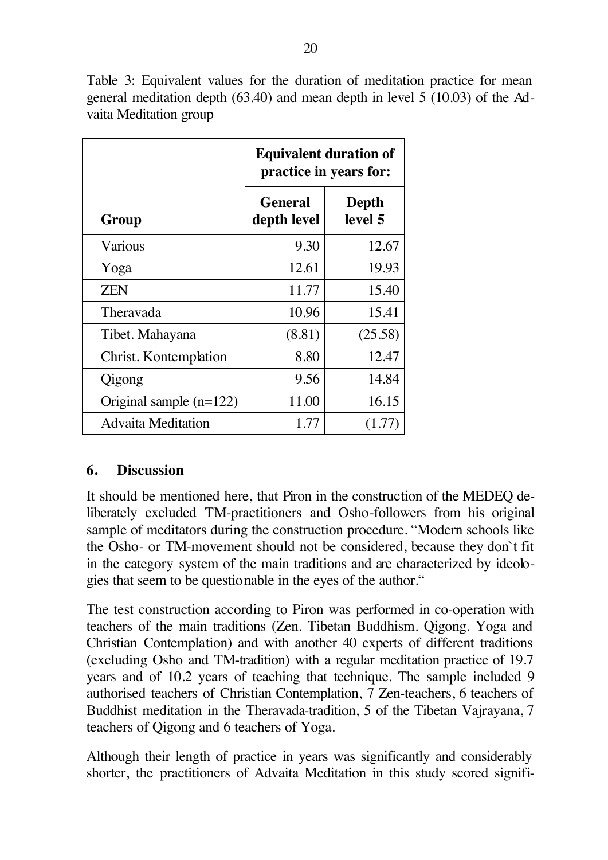Table 3: Equivalent values for the duration of meditation practice for mean general meditation depth (63.40) and mean depth in level 5 (10.03) of the Advaita Meditation group

|                           | <b>Equivalent duration of</b><br>practice in years for: |                  |  |  |
|---------------------------|---------------------------------------------------------|------------------|--|--|
| Group                     | <b>General</b><br>depth level                           | Depth<br>level 5 |  |  |
| Various                   | 9.30                                                    | 12.67            |  |  |
| Yoga                      | 12.61                                                   | 19.93            |  |  |
| <b>ZEN</b>                | 11.77                                                   | 15.40            |  |  |
| Theravada                 | 10.96                                                   | 15.41            |  |  |
| Tibet. Mahayana           | (8.81)                                                  | (25.58)          |  |  |
| Christ. Kontemplation     | 8.80                                                    | 12.47            |  |  |
| Qigong                    | 9.56                                                    | 14.84            |  |  |
| Original sample $(n=122)$ | 11.00                                                   | 16.15            |  |  |
| <b>Advaita Meditation</b> | 1.77                                                    |                  |  |  |

# **6. Discussion**

It should be mentioned here, that Piron in the construction of the MEDEQ deliberately excluded TM-practitioners and Osho-followers from his original sample of meditators during the construction procedure. "Modern schools like the Osho- or TM-movement should not be considered, because they don`t fit in the category system of the main traditions and are characterized by ideologies that seem to be questionable in the eyes of the author."

The test construction according to Piron was performed in co-operation with teachers of the main traditions (Zen. Tibetan Buddhism. Qigong. Yoga and Christian Contemplation) and with another 40 experts of different traditions (excluding Osho and TM-tradition) with a regular meditation practice of 19.7 years and of 10.2 years of teaching that technique. The sample included 9 authorised teachers of Christian Contemplation, 7 Zen-teachers, 6 teachers of Buddhist meditation in the Theravada-tradition, 5 of the Tibetan Vajrayana, 7 teachers of Qigong and 6 teachers of Yoga.

Although their length of practice in years was significantly and considerably shorter, the practitioners of Advaita Meditation in this study scored signifi-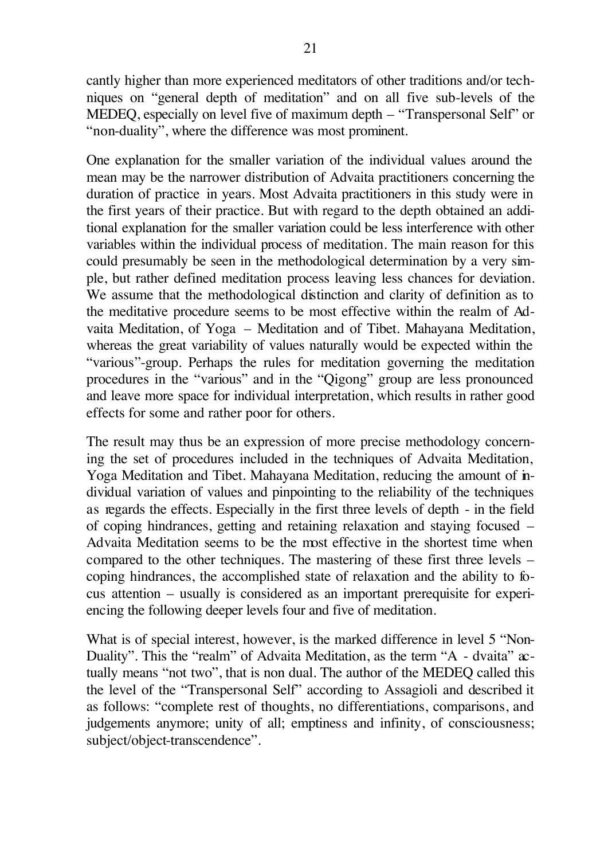cantly higher than more experienced meditators of other traditions and/or techniques on "general depth of meditation" and on all five sub-levels of the MEDEQ, especially on level five of maximum depth – "Transpersonal Self" or "non-duality", where the difference was most prominent.

One explanation for the smaller variation of the individual values around the mean may be the narrower distribution of Advaita practitioners concerning the duration of practice in years. Most Advaita practitioners in this study were in the first years of their practice. But with regard to the depth obtained an additional explanation for the smaller variation could be less interference with other variables within the individual process of meditation. The main reason for this could presumably be seen in the methodological determination by a very simple, but rather defined meditation process leaving less chances for deviation. We assume that the methodological distinction and clarity of definition as to the meditative procedure seems to be most effective within the realm of Advaita Meditation, of Yoga – Meditation and of Tibet. Mahayana Meditation, whereas the great variability of values naturally would be expected within the "various"-group. Perhaps the rules for meditation governing the meditation procedures in the "various" and in the "Qigong" group are less pronounced and leave more space for individual interpretation, which results in rather good effects for some and rather poor for others.

The result may thus be an expression of more precise methodology concerning the set of procedures included in the techniques of Advaita Meditation, Yoga Meditation and Tibet. Mahayana Meditation, reducing the amount of individual variation of values and pinpointing to the reliability of the techniques as regards the effects. Especially in the first three levels of depth - in the field of coping hindrances, getting and retaining relaxation and staying focused – Advaita Meditation seems to be the most effective in the shortest time when compared to the other techniques. The mastering of these first three levels – coping hindrances, the accomplished state of relaxation and the ability to focus attention – usually is considered as an important prerequisite for experiencing the following deeper levels four and five of meditation.

What is of special interest, however, is the marked difference in level 5 "Non-Duality". This the "realm" of Advaita Meditation, as the term "A - dvaita" actually means "not two", that is non dual. The author of the MEDEQ called this the level of the "Transpersonal Self" according to Assagioli and described it as follows: "complete rest of thoughts, no differentiations, comparisons, and judgements anymore; unity of all; emptiness and infinity, of consciousness; subject/object-transcendence".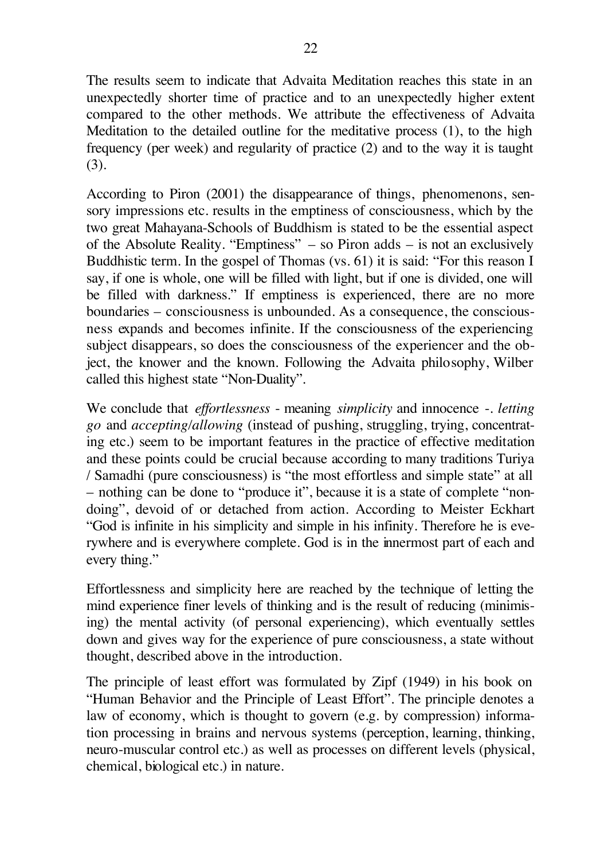The results seem to indicate that Advaita Meditation reaches this state in an unexpectedly shorter time of practice and to an unexpectedly higher extent compared to the other methods. We attribute the effectiveness of Advaita Meditation to the detailed outline for the meditative process (1), to the high frequency (per week) and regularity of practice (2) and to the way it is taught (3).

According to Piron (2001) the disappearance of things, phenomenons, sensory impressions etc. results in the emptiness of consciousness, which by the two great Mahayana-Schools of Buddhism is stated to be the essential aspect of the Absolute Reality. "Emptiness" – so Piron adds – is not an exclusively Buddhistic term. In the gospel of Thomas (vs. 61) it is said: "For this reason I say, if one is whole, one will be filled with light, but if one is divided, one will be filled with darkness." If emptiness is experienced, there are no more boundaries – consciousness is unbounded. As a consequence, the consciousness expands and becomes infinite. If the consciousness of the experiencing subject disappears, so does the consciousness of the experiencer and the object, the knower and the known. Following the Advaita philosophy, Wilber called this highest state "Non-Duality".

We conclude that *effortlessness* - meaning *simplicity* and innocence -. *letting go* and *accepting/allowing* (instead of pushing, struggling, trying, concentrating etc.) seem to be important features in the practice of effective meditation and these points could be crucial because according to many traditions Turiya / Samadhi (pure consciousness) is "the most effortless and simple state" at all – nothing can be done to "produce it", because it is a state of complete "nondoing", devoid of or detached from action. According to Meister Eckhart "God is infinite in his simplicity and simple in his infinity. Therefore he is everywhere and is everywhere complete. God is in the innermost part of each and every thing."

Effortlessness and simplicity here are reached by the technique of letting the mind experience finer levels of thinking and is the result of reducing (minimising) the mental activity (of personal experiencing), which eventually settles down and gives way for the experience of pure consciousness, a state without thought, described above in the introduction.

The principle of least effort was formulated by Zipf (1949) in his book on "Human Behavior and the Principle of Least Effort". The principle denotes a law of economy, which is thought to govern (e.g. by compression) information processing in brains and nervous systems (perception, learning, thinking, neuro-muscular control etc.) as well as processes on different levels (physical, chemical, biological etc.) in nature.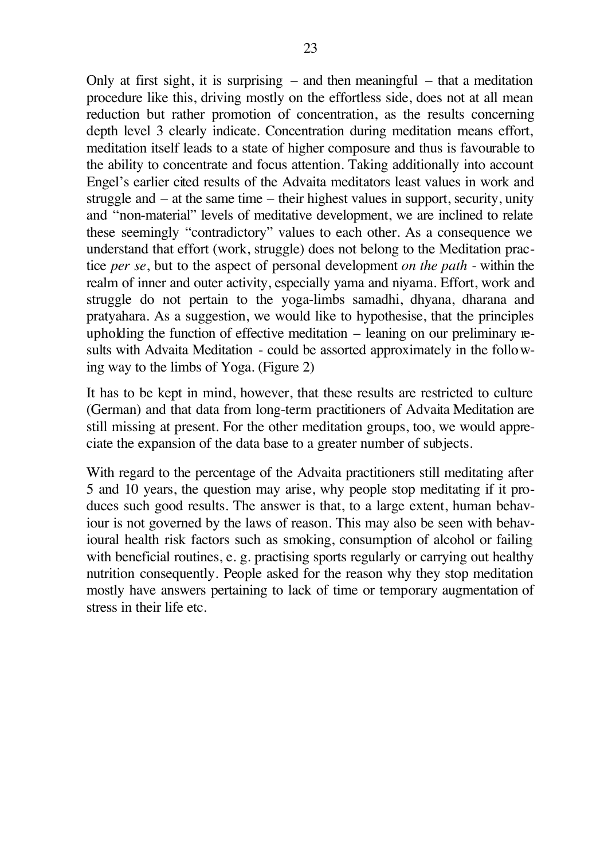Only at first sight, it is surprising  $-$  and then meaningful  $-$  that a meditation procedure like this, driving mostly on the effortless side, does not at all mean reduction but rather promotion of concentration, as the results concerning depth level 3 clearly indicate. Concentration during meditation means effort, meditation itself leads to a state of higher composure and thus is favourable to the ability to concentrate and focus attention. Taking additionally into account Engel's earlier cited results of the Advaita meditators least values in work and struggle and – at the same time – their highest values in support, security, unity and "non-material" levels of meditative development, we are inclined to relate these seemingly "contradictory" values to each other. As a consequence we understand that effort (work, struggle) does not belong to the Meditation practice *per se*, but to the aspect of personal development *on the path* - within the realm of inner and outer activity, especially yama and niyama. Effort, work and struggle do not pertain to the yoga-limbs samadhi, dhyana, dharana and pratyahara. As a suggestion, we would like to hypothesise, that the principles upholding the function of effective meditation – leaning on our preliminary results with Advaita Meditation - could be assorted approximately in the following way to the limbs of Yoga. (Figure 2)

It has to be kept in mind, however, that these results are restricted to culture (German) and that data from long-term practitioners of Advaita Meditation are still missing at present. For the other meditation groups, too, we would appreciate the expansion of the data base to a greater number of subjects.

With regard to the percentage of the Advaita practitioners still meditating after 5 and 10 years, the question may arise, why people stop meditating if it produces such good results. The answer is that, to a large extent, human behaviour is not governed by the laws of reason. This may also be seen with behavioural health risk factors such as smoking, consumption of alcohol or failing with beneficial routines, e. g. practising sports regularly or carrying out healthy nutrition consequently. People asked for the reason why they stop meditation mostly have answers pertaining to lack of time or temporary augmentation of stress in their life etc.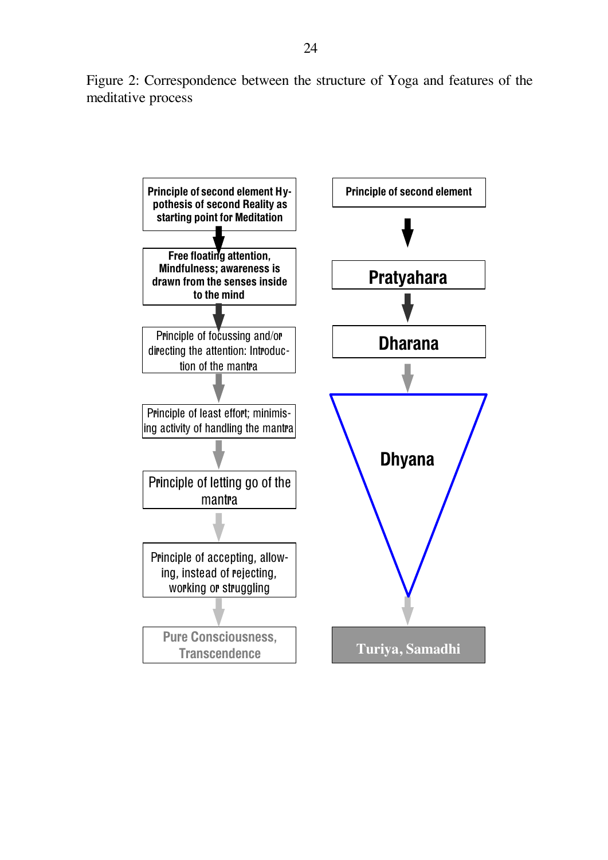Figure 2: Correspondence between the structure of Yoga and features of the meditative process

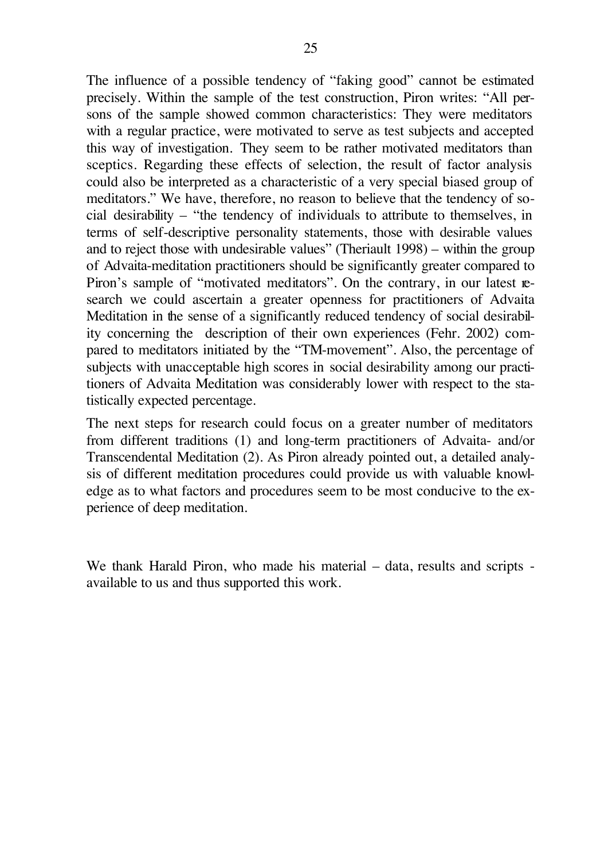The influence of a possible tendency of "faking good" cannot be estimated precisely. Within the sample of the test construction, Piron writes: "All persons of the sample showed common characteristics: They were meditators with a regular practice, were motivated to serve as test subjects and accepted this way of investigation. They seem to be rather motivated meditators than sceptics. Regarding these effects of selection, the result of factor analysis could also be interpreted as a characteristic of a very special biased group of meditators." We have, therefore, no reason to believe that the tendency of social desirability – "the tendency of individuals to attribute to themselves, in terms of self-descriptive personality statements, those with desirable values and to reject those with undesirable values" (Theriault 1998) – within the group of Advaita-meditation practitioners should be significantly greater compared to Piron's sample of "motivated meditators". On the contrary, in our latest research we could ascertain a greater openness for practitioners of Advaita Meditation in the sense of a significantly reduced tendency of social desirability concerning the description of their own experiences (Fehr. 2002) compared to meditators initiated by the "TM-movement". Also, the percentage of subjects with unacceptable high scores in social desirability among our practitioners of Advaita Meditation was considerably lower with respect to the statistically expected percentage.

The next steps for research could focus on a greater number of meditators from different traditions (1) and long-term practitioners of Advaita- and/or Transcendental Meditation (2). As Piron already pointed out, a detailed analysis of different meditation procedures could provide us with valuable knowledge as to what factors and procedures seem to be most conducive to the experience of deep meditation.

We thank Harald Piron, who made his material – data, results and scripts available to us and thus supported this work.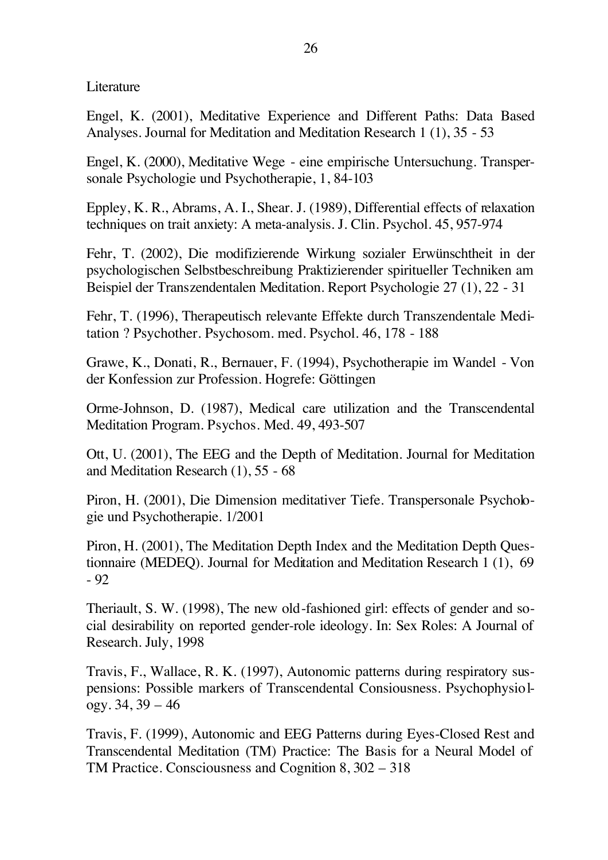Literature

Engel, K. (2001), Meditative Experience and Different Paths: Data Based Analyses. Journal for Meditation and Meditation Research 1 (1), 35 - 53

Engel, K. (2000), Meditative Wege - eine empirische Untersuchung. Transpersonale Psychologie und Psychotherapie, 1, 84-103

Eppley, K. R., Abrams, A. I., Shear. J. (1989), Differential effects of relaxation techniques on trait anxiety: A meta-analysis. J. Clin. Psychol. 45, 957-974

Fehr, T. (2002), Die modifizierende Wirkung sozialer Erwünschtheit in der psychologischen Selbstbeschreibung Praktizierender spiritueller Techniken am Beispiel der Transzendentalen Meditation. Report Psychologie 27 (1), 22 - 31

Fehr, T. (1996), Therapeutisch relevante Effekte durch Transzendentale Meditation ? Psychother. Psychosom. med. Psychol. 46, 178 - 188

Grawe, K., Donati, R., Bernauer, F. (1994), Psychotherapie im Wandel - Von der Konfession zur Profession. Hogrefe: Göttingen

Orme-Johnson, D. (1987), Medical care utilization and the Transcendental Meditation Program. Psychos. Med. 49, 493-507

Ott, U. (2001), The EEG and the Depth of Meditation. Journal for Meditation and Meditation Research (1), 55 - 68

Piron, H. (2001), Die Dimension meditativer Tiefe. Transpersonale Psychologie und Psychotherapie. 1/2001

Piron, H. (2001), The Meditation Depth Index and the Meditation Depth Questionnaire (MEDEQ). Journal for Meditation and Meditation Research 1 (1), 69 - 92

Theriault, S. W. (1998), The new old-fashioned girl: effects of gender and social desirability on reported gender-role ideology. In: Sex Roles: A Journal of Research. July, 1998

Travis, F., Wallace, R. K. (1997), Autonomic patterns during respiratory suspensions: Possible markers of Transcendental Consiousness. Psychophysiology. 34, 39 – 46

Travis, F. (1999), Autonomic and EEG Patterns during Eyes-Closed Rest and Transcendental Meditation (TM) Practice: The Basis for a Neural Model of TM Practice. Consciousness and Cognition 8, 302 – 318